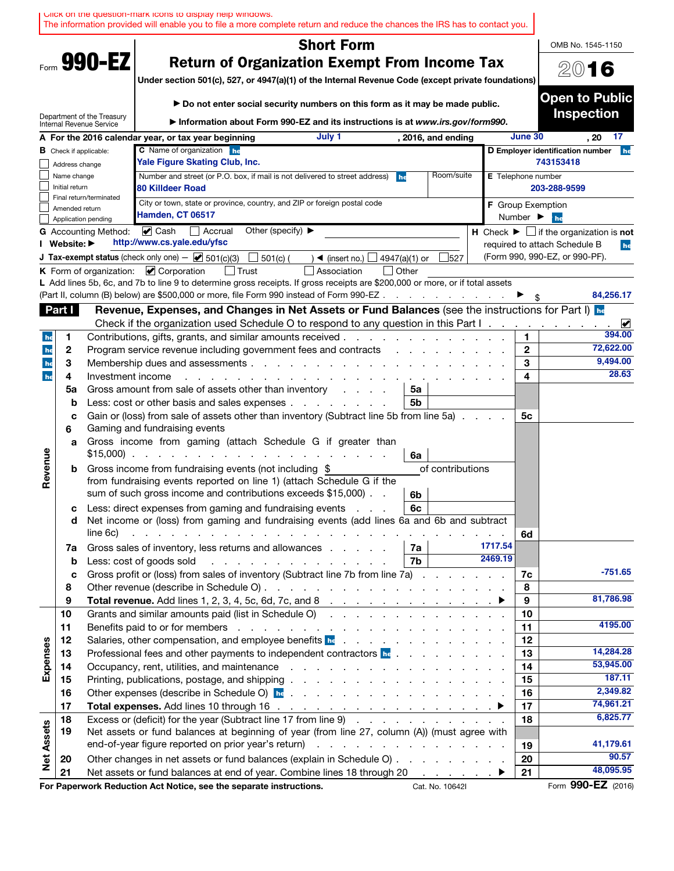|                   |                               |                                                | UIICK ON THE QUESTION-MARK ICONS TO DISPIRY NEID WINDOWS.<br>The information provided will enable you to file a more complete return and reduce the chances the IRS has to contact you.                                                                                                                                                                                                                                                                              |                    |                              |                                                                               |
|-------------------|-------------------------------|------------------------------------------------|----------------------------------------------------------------------------------------------------------------------------------------------------------------------------------------------------------------------------------------------------------------------------------------------------------------------------------------------------------------------------------------------------------------------------------------------------------------------|--------------------|------------------------------|-------------------------------------------------------------------------------|
|                   |                               |                                                | <b>Short Form</b>                                                                                                                                                                                                                                                                                                                                                                                                                                                    |                    |                              | OMB No. 1545-1150                                                             |
|                   |                               | Form 990-EZ                                    | <b>Return of Organization Exempt From Income Tax</b><br>Under section 501(c), 527, or 4947(a)(1) of the Internal Revenue Code (except private foundations)                                                                                                                                                                                                                                                                                                           |                    |                              | 2016                                                                          |
|                   |                               | Department of the Treasury                     | Do not enter social security numbers on this form as it may be made public.                                                                                                                                                                                                                                                                                                                                                                                          |                    |                              | <b>Open to Public</b><br><b>Inspection</b>                                    |
|                   |                               | Internal Revenue Service                       | Information about Form 990-EZ and its instructions is at www.irs.gov/form990.                                                                                                                                                                                                                                                                                                                                                                                        |                    |                              |                                                                               |
|                   |                               | <b>B</b> Check if applicable:                  | July 1<br>A For the 2016 calendar year, or tax year beginning<br>C Name of organization he                                                                                                                                                                                                                                                                                                                                                                           | , 2016, and ending |                              | June 30<br>17<br>. 20<br>D Employer identification number<br>he               |
|                   | Address change                |                                                | Yale Figure Skating Club, Inc.                                                                                                                                                                                                                                                                                                                                                                                                                                       |                    |                              | 743153418                                                                     |
|                   | Name change<br>Initial return |                                                | Number and street (or P.O. box, if mail is not delivered to street address)<br>he<br><b>80 Killdeer Road</b>                                                                                                                                                                                                                                                                                                                                                         | Room/suite         | <b>E</b> Telephone number    | 203-288-9599                                                                  |
|                   | Amended return                | Final return/terminated<br>Application pending | City or town, state or province, country, and ZIP or foreign postal code<br>Hamden, CT 06517                                                                                                                                                                                                                                                                                                                                                                         |                    | Number $\blacktriangleright$ | F Group Exemption<br>he                                                       |
|                   |                               | <b>G</b> Accounting Method:                    | Other (specify) ▶<br>$\triangledown$ Cash<br>Accrual                                                                                                                                                                                                                                                                                                                                                                                                                 |                    |                              | <b>H</b> Check $\blacktriangleright$ $\Box$ if the organization is <b>not</b> |
|                   | I Website: ▶                  |                                                | http://www.cs.yale.edu/yfsc                                                                                                                                                                                                                                                                                                                                                                                                                                          |                    |                              | required to attach Schedule B<br>he                                           |
|                   |                               |                                                | <b>J Tax-exempt status</b> (check only one) $-\Box$ 501(c)(3)<br>$501(c)$ (<br>$\rightarrow$ (insert no.)<br>4947(a)(1) or                                                                                                                                                                                                                                                                                                                                           | 527                |                              | (Form 990, 990-EZ, or 990-PF).                                                |
|                   |                               |                                                | K Form of organization: $\vee$ Corporation<br>$\Box$ Other<br>Association                                                                                                                                                                                                                                                                                                                                                                                            |                    |                              |                                                                               |
|                   |                               |                                                | L Add lines 5b, 6c, and 7b to line 9 to determine gross receipts. If gross receipts are \$200,000 or more, or if total assets                                                                                                                                                                                                                                                                                                                                        |                    |                              |                                                                               |
|                   |                               |                                                | (Part II, column (B) below) are \$500,000 or more, file Form 990 instead of Form 990-EZ                                                                                                                                                                                                                                                                                                                                                                              |                    |                              | 84,256.17                                                                     |
|                   | Part I                        |                                                | Revenue, Expenses, and Changes in Net Assets or Fund Balances (see the instructions for Part I) he                                                                                                                                                                                                                                                                                                                                                                   |                    |                              |                                                                               |
|                   |                               |                                                | Check if the organization used Schedule O to respond to any question in this Part I.                                                                                                                                                                                                                                                                                                                                                                                 |                    |                              | $\blacktriangleright$<br>394.00<br>1                                          |
| he<br>he          | 1<br>2                        |                                                | Contributions, gifts, grants, and similar amounts received.<br>Program service revenue including government fees and contracts                                                                                                                                                                                                                                                                                                                                       |                    |                              | 72,622.00<br>$\mathbf{2}$                                                     |
| he                | 3                             |                                                | Membership dues and assessments.<br>and a straight and a straight and                                                                                                                                                                                                                                                                                                                                                                                                |                    |                              | 9,494.00<br>3                                                                 |
| he                | 4                             | Investment income                              |                                                                                                                                                                                                                                                                                                                                                                                                                                                                      | 28.63<br>4         |                              |                                                                               |
|                   | 5a                            |                                                | Gross amount from sale of assets other than inventory<br>5a                                                                                                                                                                                                                                                                                                                                                                                                          |                    |                              |                                                                               |
|                   | b                             |                                                | Less: cost or other basis and sales expenses<br>5b                                                                                                                                                                                                                                                                                                                                                                                                                   |                    |                              |                                                                               |
|                   | c<br>6                        |                                                | Gain or (loss) from sale of assets other than inventory (Subtract line 5b from line 5a)<br>Gaming and fundraising events                                                                                                                                                                                                                                                                                                                                             |                    |                              | 5c                                                                            |
|                   | a                             |                                                | Gross income from gaming (attach Schedule G if greater than<br>$$15,000$<br>6a                                                                                                                                                                                                                                                                                                                                                                                       |                    |                              |                                                                               |
| Revenue           | b                             |                                                | Gross income from fundraising events (not including \$                                                                                                                                                                                                                                                                                                                                                                                                               | of contributions   |                              |                                                                               |
|                   |                               |                                                | from fundraising events reported on line 1) (attach Schedule G if the<br>sum of such gross income and contributions exceeds \$15,000).<br>6b                                                                                                                                                                                                                                                                                                                         |                    |                              |                                                                               |
|                   | с                             |                                                | Less: direct expenses from gaming and fundraising events<br>6с                                                                                                                                                                                                                                                                                                                                                                                                       |                    |                              |                                                                               |
|                   | d                             | line 6c)                                       | Net income or (loss) from gaming and fundraising events (add lines 6a and 6b and subtract<br>and the contract of the contract of the contract of the contract of the contract of                                                                                                                                                                                                                                                                                     |                    |                              | 6d                                                                            |
|                   | 7a                            |                                                | Gross sales of inventory, less returns and allowances<br>7а                                                                                                                                                                                                                                                                                                                                                                                                          |                    | 1717.54                      |                                                                               |
|                   | b                             |                                                | 7b<br>Less: cost of goods sold<br>and the company of the company of the company of the company of the company of the company of the company of the company of the company of the company of the company of the company of the company of the company of the comp                                                                                                                                                                                                     |                    | 2469.19                      |                                                                               |
|                   | c                             |                                                | Gross profit or (loss) from sales of inventory (Subtract line 7b from line 7a)                                                                                                                                                                                                                                                                                                                                                                                       |                    |                              | $-751.65$<br>7c                                                               |
|                   | 8                             |                                                |                                                                                                                                                                                                                                                                                                                                                                                                                                                                      |                    |                              | 8                                                                             |
|                   | 9                             |                                                |                                                                                                                                                                                                                                                                                                                                                                                                                                                                      |                    |                              | 81,786.98<br>9                                                                |
|                   | 10                            |                                                | Grants and similar amounts paid (list in Schedule O)                                                                                                                                                                                                                                                                                                                                                                                                                 |                    |                              | 10                                                                            |
|                   | 11                            |                                                |                                                                                                                                                                                                                                                                                                                                                                                                                                                                      |                    |                              | 4195.00<br>11                                                                 |
| Expenses          | 12                            |                                                | Salaries, other compensation, and employee benefits <b>he</b>                                                                                                                                                                                                                                                                                                                                                                                                        |                    |                              | 12<br>14,284.28                                                               |
|                   | 13<br>14                      |                                                | Professional fees and other payments to independent contractors <b>he</b> entitled as a set of the set of the set of the set of the set of the set of the set of the set of the set of the set of the set of the set of the set of<br>Occupancy, rent, utilities, and maintenance response to the contract of the contract of the contract of the contract of the contract of the contract of the contract of the contract of the contract of the contract of the co |                    |                              | 13<br>53,945.00<br>14                                                         |
|                   | 15                            |                                                |                                                                                                                                                                                                                                                                                                                                                                                                                                                                      |                    |                              | 187.11<br>15                                                                  |
|                   | 16                            |                                                |                                                                                                                                                                                                                                                                                                                                                                                                                                                                      |                    |                              | 2,349.82<br>16                                                                |
|                   | 17                            |                                                |                                                                                                                                                                                                                                                                                                                                                                                                                                                                      |                    |                              | 74,961.21<br>17                                                               |
|                   | 18                            |                                                | Excess or (deficit) for the year (Subtract line 17 from line 9)                                                                                                                                                                                                                                                                                                                                                                                                      |                    |                              | 6,825.77<br>18                                                                |
| <b>Net Assets</b> | 19                            |                                                | Net assets or fund balances at beginning of year (from line 27, column (A)) (must agree with                                                                                                                                                                                                                                                                                                                                                                         |                    |                              |                                                                               |
|                   |                               |                                                |                                                                                                                                                                                                                                                                                                                                                                                                                                                                      |                    |                              | 41,179.61<br>19                                                               |
|                   | 20                            |                                                | Other changes in net assets or fund balances (explain in Schedule O)                                                                                                                                                                                                                                                                                                                                                                                                 |                    |                              | 90.57<br>20                                                                   |
|                   | 21                            |                                                | Net assets or fund balances at end of year. Combine lines 18 through 20 ▶                                                                                                                                                                                                                                                                                                                                                                                            |                    |                              | 48,095.95<br>21                                                               |
|                   |                               |                                                | For Paperwork Reduction Act Notice, see the separate instructions.                                                                                                                                                                                                                                                                                                                                                                                                   | Cat. No. 10642I    |                              | Form 990-EZ (2016)                                                            |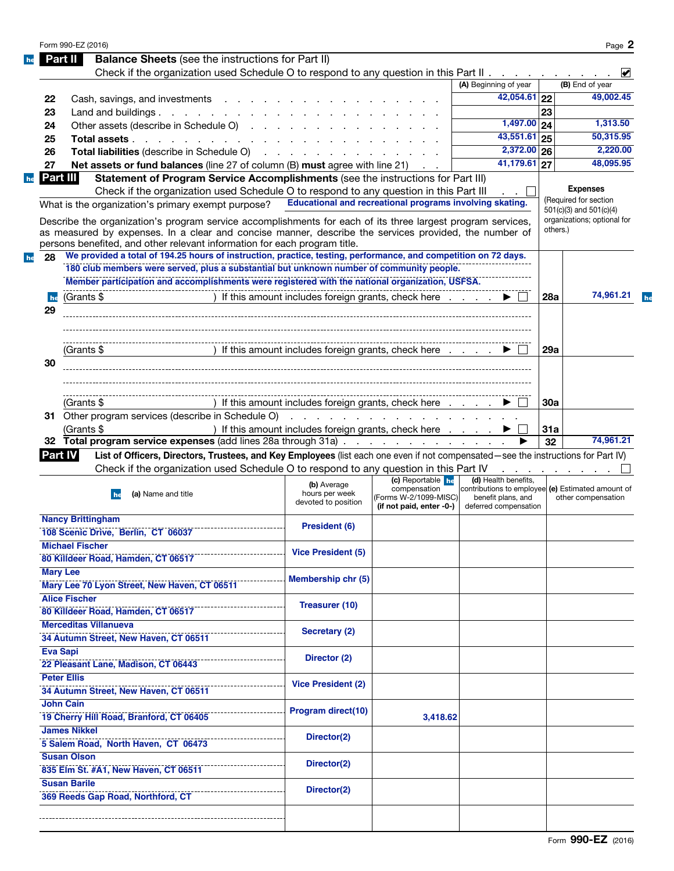|     | <b>Balance Sheets</b> (see the instructions for Part II)<br>Part II                                                                                                                                                            |                                                      |                                       |                                                                         |          |                             |
|-----|--------------------------------------------------------------------------------------------------------------------------------------------------------------------------------------------------------------------------------|------------------------------------------------------|---------------------------------------|-------------------------------------------------------------------------|----------|-----------------------------|
|     | Check if the organization used Schedule O to respond to any question in this Part II                                                                                                                                           |                                                      |                                       |                                                                         |          | $\blacktriangleright$       |
|     |                                                                                                                                                                                                                                |                                                      |                                       | (A) Beginning of year                                                   |          | (B) End of year             |
| 22  | Cash, savings, and investments                                                                                                                                                                                                 |                                                      |                                       | 42,054.61 22                                                            |          | 49,002.45                   |
| 23  | Land and buildings.                                                                                                                                                                                                            |                                                      |                                       | $1,497.00$ 24                                                           | 23       |                             |
| 24  | Other assets (describe in Schedule O)                                                                                                                                                                                          |                                                      |                                       | $\overline{43,551.61}$ 25                                               |          | 1,313.50<br>50,315.95       |
| 25  | Total assets                                                                                                                                                                                                                   |                                                      |                                       | $\overline{2,372.00}$ 26                                                |          | 2,220.00                    |
| 26  | Total liabilities (describe in Schedule O) (example and a set of the set of the set of the set of the set of the set of the set of the set of the set of the set of the set of the set of the set of the set of the set of the |                                                      |                                       | $\overline{41,179.61}$ 27                                               |          | 48,095.95                   |
| 27  | <b>Net assets or fund balances</b> (line 27 of column (B) must agree with line 21)                                                                                                                                             |                                                      |                                       |                                                                         |          |                             |
|     | Part III<br>Statement of Program Service Accomplishments (see the instructions for Part III)                                                                                                                                   |                                                      |                                       |                                                                         |          | <b>Expenses</b>             |
|     | Check if the organization used Schedule O to respond to any question in this Part III<br>Educational and recreational programs involving skating.                                                                              |                                                      |                                       |                                                                         |          | (Required for section       |
|     | What is the organization's primary exempt purpose?                                                                                                                                                                             |                                                      |                                       |                                                                         |          | $501(c)(3)$ and $501(c)(4)$ |
|     | Describe the organization's program service accomplishments for each of its three largest program services,                                                                                                                    |                                                      |                                       |                                                                         | others.) | organizations; optional for |
|     | as measured by expenses. In a clear and concise manner, describe the services provided, the number of                                                                                                                          |                                                      |                                       |                                                                         |          |                             |
|     | persons benefited, and other relevant information for each program title.<br>We provided a total of 194.25 hours of instruction, practice, testing, performance, and competition on 72 days.                                   |                                                      |                                       |                                                                         |          |                             |
| 28  | 180 club members were served, plus a substantial but unknown number of community people.                                                                                                                                       |                                                      |                                       |                                                                         |          |                             |
|     | Member participation and accomplishments were registered with the national organization, USFSA.                                                                                                                                |                                                      |                                       |                                                                         |          |                             |
|     |                                                                                                                                                                                                                                |                                                      |                                       |                                                                         |          |                             |
| he  | (Grants \$                                                                                                                                                                                                                     | ) If this amount includes foreign grants, check here |                                       | $\blacktriangleright$ $\sqcup$                                          | 28a      | 74,961.21                   |
| 29  |                                                                                                                                                                                                                                |                                                      |                                       |                                                                         |          |                             |
|     |                                                                                                                                                                                                                                |                                                      |                                       |                                                                         |          |                             |
|     |                                                                                                                                                                                                                                |                                                      |                                       |                                                                         |          |                             |
|     | (Grants \$                                                                                                                                                                                                                     | ) If this amount includes foreign grants, check here |                                       |                                                                         | 29a      |                             |
| 30  |                                                                                                                                                                                                                                |                                                      |                                       |                                                                         |          |                             |
|     |                                                                                                                                                                                                                                |                                                      |                                       |                                                                         |          |                             |
|     |                                                                                                                                                                                                                                |                                                      |                                       |                                                                         |          |                             |
|     | (Grants \$                                                                                                                                                                                                                     | If this amount includes foreign grants, check here   |                                       |                                                                         | 30a      |                             |
|     |                                                                                                                                                                                                                                |                                                      |                                       |                                                                         |          |                             |
|     | Other program services (describe in Schedule O)                                                                                                                                                                                | and a series of the contract of the contract of the  |                                       |                                                                         |          |                             |
|     | (Grants \$                                                                                                                                                                                                                     | ) If this amount includes foreign grants, check here |                                       |                                                                         | 31a      |                             |
|     | 32 Total program service expenses (add lines 28a through 31a)                                                                                                                                                                  |                                                      |                                       |                                                                         | 32       |                             |
|     | List of Officers, Directors, Trustees, and Key Employees (list each one even if not compensated—see the instructions for Part IV)<br><b>Part IV</b>                                                                            |                                                      |                                       |                                                                         |          |                             |
|     | Check if the organization used Schedule O to respond to any question in this Part IV                                                                                                                                           |                                                      |                                       |                                                                         |          | .                           |
|     |                                                                                                                                                                                                                                | (b) Average                                          | (c) Reportable he                     | (d) Health benefits,                                                    |          |                             |
|     | (a) Name and title<br>he                                                                                                                                                                                                       | hours per week                                       | compensation<br>(Forms W-2/1099-MISC) | contributions to employee (e) Estimated amount of<br>benefit plans, and |          | other compensation          |
|     |                                                                                                                                                                                                                                | devoted to position                                  | (if not paid, enter -0-)              | deferred compensation                                                   |          |                             |
|     | <b>Nancy Brittingham</b>                                                                                                                                                                                                       |                                                      |                                       |                                                                         |          |                             |
|     | 108 Scenic Drive, Berlin, CT 06037                                                                                                                                                                                             | President (6)                                        |                                       |                                                                         |          |                             |
|     | <b>Michael Fischer</b>                                                                                                                                                                                                         |                                                      |                                       |                                                                         |          |                             |
|     | 80 Killdeer Road, Hamden, CT 06517                                                                                                                                                                                             | <b>Vice President (5)</b>                            |                                       |                                                                         |          |                             |
|     | <b>Mary Lee</b>                                                                                                                                                                                                                |                                                      |                                       |                                                                         |          |                             |
|     | Mary Lee 70 Lyon Street, New Haven, CT 06511                                                                                                                                                                                   | Membership chr (5)                                   |                                       |                                                                         |          |                             |
|     | <b>Alice Fischer</b>                                                                                                                                                                                                           |                                                      |                                       |                                                                         |          |                             |
|     |                                                                                                                                                                                                                                | <b>Treasurer (10)</b>                                |                                       |                                                                         |          |                             |
|     | 80 Killdeer Road, Hamden, CT 06517                                                                                                                                                                                             |                                                      |                                       |                                                                         |          |                             |
|     | <b>Merceditas Villanueva</b>                                                                                                                                                                                                   | Secretary (2)                                        |                                       |                                                                         |          |                             |
|     | 34 Autumn Street, New Haven, CT 06511                                                                                                                                                                                          |                                                      |                                       |                                                                         |          |                             |
|     | <b>Eva Sapi</b>                                                                                                                                                                                                                | Director (2)                                         |                                       |                                                                         |          | 74,961.21                   |
|     | 22 Pleasant Lane, Madison, CT 06443<br><b>Peter Ellis</b>                                                                                                                                                                      |                                                      |                                       |                                                                         |          |                             |
|     |                                                                                                                                                                                                                                | <b>Vice President (2)</b>                            |                                       |                                                                         |          |                             |
|     | 34 Autumn Street, New Haven, CT 06511                                                                                                                                                                                          |                                                      |                                       |                                                                         |          |                             |
|     | <b>John Cain</b>                                                                                                                                                                                                               | Program direct(10)                                   |                                       |                                                                         |          |                             |
|     | 19 Cherry Hill Road, Branford, CT 06405                                                                                                                                                                                        |                                                      | 3,418.62                              |                                                                         |          |                             |
|     | <b>James Nikkel</b>                                                                                                                                                                                                            | Director(2)                                          |                                       |                                                                         |          |                             |
|     | 5 Salem Road, North Haven, CT 06473                                                                                                                                                                                            |                                                      |                                       |                                                                         |          |                             |
|     | <b>Susan Olson</b>                                                                                                                                                                                                             | Director(2)                                          |                                       |                                                                         |          |                             |
| 31. | 835 Elm St. #A1, New Haven, CT 06511                                                                                                                                                                                           |                                                      |                                       |                                                                         |          |                             |
|     | <b>Susan Barile</b><br>369 Reeds Gap Road, Northford, CT                                                                                                                                                                       | Director(2)                                          |                                       |                                                                         |          |                             |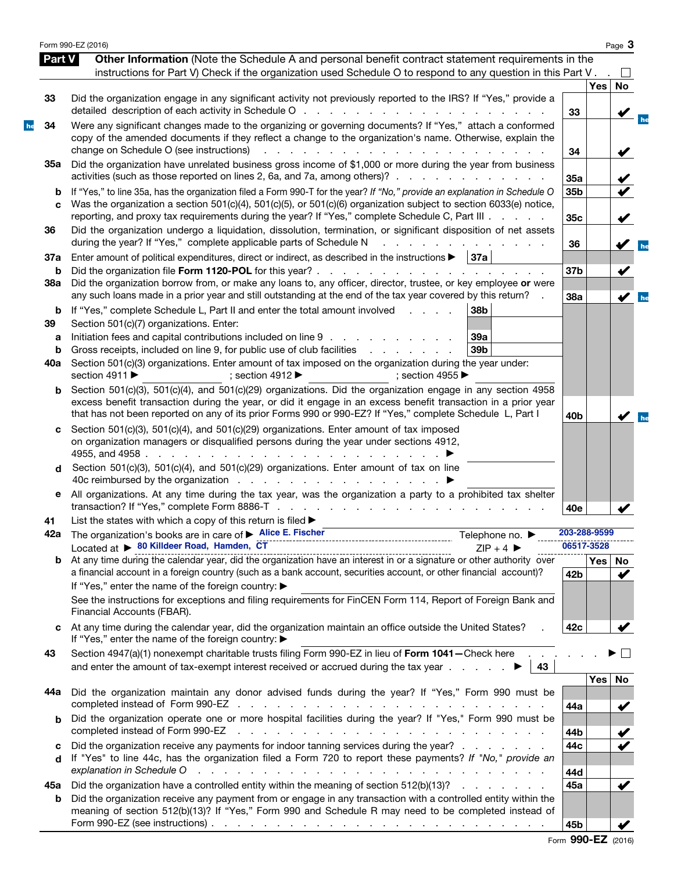|          | Form 990-EZ (2016)                                                                                                                                                                                                                                                                                                                                                      |                            |            | Page 3               |
|----------|-------------------------------------------------------------------------------------------------------------------------------------------------------------------------------------------------------------------------------------------------------------------------------------------------------------------------------------------------------------------------|----------------------------|------------|----------------------|
| Part V   | Other Information (Note the Schedule A and personal benefit contract statement requirements in the                                                                                                                                                                                                                                                                      |                            |            |                      |
|          | instructions for Part V) Check if the organization used Schedule O to respond to any question in this Part V.                                                                                                                                                                                                                                                           |                            |            |                      |
| 33       | Did the organization engage in any significant activity not previously reported to the IRS? If "Yes," provide a                                                                                                                                                                                                                                                         |                            | <b>Yes</b> | No                   |
|          |                                                                                                                                                                                                                                                                                                                                                                         | 33                         |            |                      |
| 34       | Were any significant changes made to the organizing or governing documents? If "Yes," attach a conformed<br>copy of the amended documents if they reflect a change to the organization's name. Otherwise, explain the<br>change on Schedule O (see instructions)<br>and the contract of the con-<br>and a strain and a strain                                           | 34                         |            |                      |
| 35a      | Did the organization have unrelated business gross income of \$1,000 or more during the year from business<br>activities (such as those reported on lines 2, 6a, and 7a, among others)?                                                                                                                                                                                 | 35a                        |            |                      |
| b        | If "Yes," to line 35a, has the organization filed a Form 990-T for the year? If "No," provide an explanation in Schedule O                                                                                                                                                                                                                                              | 35b                        |            |                      |
| C        | Was the organization a section 501(c)(4), 501(c)(5), or 501(c)(6) organization subject to section 6033(e) notice,<br>reporting, and proxy tax requirements during the year? If "Yes," complete Schedule C, Part III                                                                                                                                                     | 35c                        |            | $\checkmark$         |
| 36       | Did the organization undergo a liquidation, dissolution, termination, or significant disposition of net assets<br>during the year? If "Yes," complete applicable parts of Schedule N<br>the company of the company                                                                                                                                                      | 36                         |            |                      |
| 37a      | Enter amount of political expenditures, direct or indirect, as described in the instructions ><br>37a                                                                                                                                                                                                                                                                   |                            |            |                      |
| b<br>38a | Did the organization borrow from, or make any loans to, any officer, director, trustee, or key employee or were                                                                                                                                                                                                                                                         | 37 <sub>b</sub>            |            | V                    |
|          | any such loans made in a prior year and still outstanding at the end of the tax year covered by this return?                                                                                                                                                                                                                                                            | 38a                        |            | $\blacktriangledown$ |
| b        | If "Yes," complete Schedule L, Part II and enter the total amount involved<br>38b<br>and the state of                                                                                                                                                                                                                                                                   |                            |            |                      |
| 39<br>a  | Section 501(c)(7) organizations. Enter:<br>Initiation fees and capital contributions included on line 9<br>39a                                                                                                                                                                                                                                                          |                            |            |                      |
| b        | Gross receipts, included on line 9, for public use of club facilities<br>39 <sub>b</sub><br>and a state of the state of the                                                                                                                                                                                                                                             |                            |            |                      |
| 40a      | Section 501(c)(3) organizations. Enter amount of tax imposed on the organization during the year under:<br>section 4911 ▶<br>; section 4912 $\blacktriangleright$<br>: section 4955 $\blacktriangleright$                                                                                                                                                               |                            |            |                      |
|          | Section 501(c)(3), 501(c)(4), and 501(c)(29) organizations. Did the organization engage in any section 4958                                                                                                                                                                                                                                                             |                            |            |                      |
|          | excess benefit transaction during the year, or did it engage in an excess benefit transaction in a prior year<br>that has not been reported on any of its prior Forms 990 or 990-EZ? If "Yes," complete Schedule L, Part I                                                                                                                                              | 40 <sub>b</sub>            |            |                      |
| c        | Section 501(c)(3), 501(c)(4), and 501(c)(29) organizations. Enter amount of tax imposed<br>on organization managers or disqualified persons during the year under sections 4912,<br>4955, and 4958                                                                                                                                                                      |                            |            |                      |
| d        | Section 501(c)(3), 501(c)(4), and 501(c)(29) organizations. Enter amount of tax on line                                                                                                                                                                                                                                                                                 |                            |            |                      |
| е        | All organizations. At any time during the tax year, was the organization a party to a prohibited tax shelter                                                                                                                                                                                                                                                            | 40e                        |            |                      |
| 41       | List the states with which a copy of this return is filed $\blacktriangleright$                                                                                                                                                                                                                                                                                         |                            |            |                      |
|          | 42a The organization's books are in care of > Alice E. Fischer<br>Telephone no. ▶<br>Located at ▶ 80 Killdeer Road, Hamden, CT                                                                                                                                                                                                                                          | 203-288-9599<br>06517-3528 |            |                      |
|          | $ZIP + 4$<br>Located at $\triangleright$ curvative ridial, ratified the organization have an interest in or a signature or other authority over<br>b At any time during the calendar year, did the organization have an interest in or a signature or o                                                                                                                 |                            | Yes No     |                      |
|          | a financial account in a foreign country (such as a bank account, securities account, or other financial account)?<br>If "Yes," enter the name of the foreign country: ▶                                                                                                                                                                                                | 42b                        |            | ✔                    |
|          | See the instructions for exceptions and filing requirements for FinCEN Form 114, Report of Foreign Bank and<br>Financial Accounts (FBAR).                                                                                                                                                                                                                               |                            |            |                      |
| c        | At any time during the calendar year, did the organization maintain an office outside the United States?<br>If "Yes," enter the name of the foreign country: ▶                                                                                                                                                                                                          | 42c                        |            |                      |
| 43       | Section 4947(a)(1) nonexempt charitable trusts filing Form 990-EZ in lieu of Form 1041-Check here .<br>and enter the amount of tax-exempt interest received or accrued during the tax year $\ldots$<br>43                                                                                                                                                               |                            |            |                      |
|          |                                                                                                                                                                                                                                                                                                                                                                         |                            | Yes        | No                   |
| 44a      | Did the organization maintain any donor advised funds during the year? If "Yes," Form 990 must be                                                                                                                                                                                                                                                                       | 44a                        |            |                      |
| b        | Did the organization operate one or more hospital facilities during the year? If "Yes," Form 990 must be<br>completed instead of Form 990-EZ<br>المتعاون والمتعاون والمتعاون والمتعاون والمتعاونة والمتعاونة والمتعاونة والمتعاونة                                                                                                                                      | 44b                        |            |                      |
| с        | Did the organization receive any payments for indoor tanning services during the year?                                                                                                                                                                                                                                                                                  | 44c                        |            |                      |
| d        | If "Yes" to line 44c, has the organization filed a Form 720 to report these payments? If "No," provide an<br>explanation in Schedule O<br>and a construction of the construction of the construction of the construction of the construction of the construction of the construction of the construction of the construction of the construction of the construction of | 44d                        |            |                      |
| 45а      | Did the organization have a controlled entity within the meaning of section 512(b)(13)?                                                                                                                                                                                                                                                                                 | 45a                        |            | V                    |
| b        | Did the organization receive any payment from or engage in any transaction with a controlled entity within the<br>meaning of section 512(b)(13)? If "Yes," Form 990 and Schedule R may need to be completed instead of                                                                                                                                                  |                            |            |                      |
|          |                                                                                                                                                                                                                                                                                                                                                                         | 45b                        |            |                      |

|  | Form 990-EZ (2016) |  |
|--|--------------------|--|
|--|--------------------|--|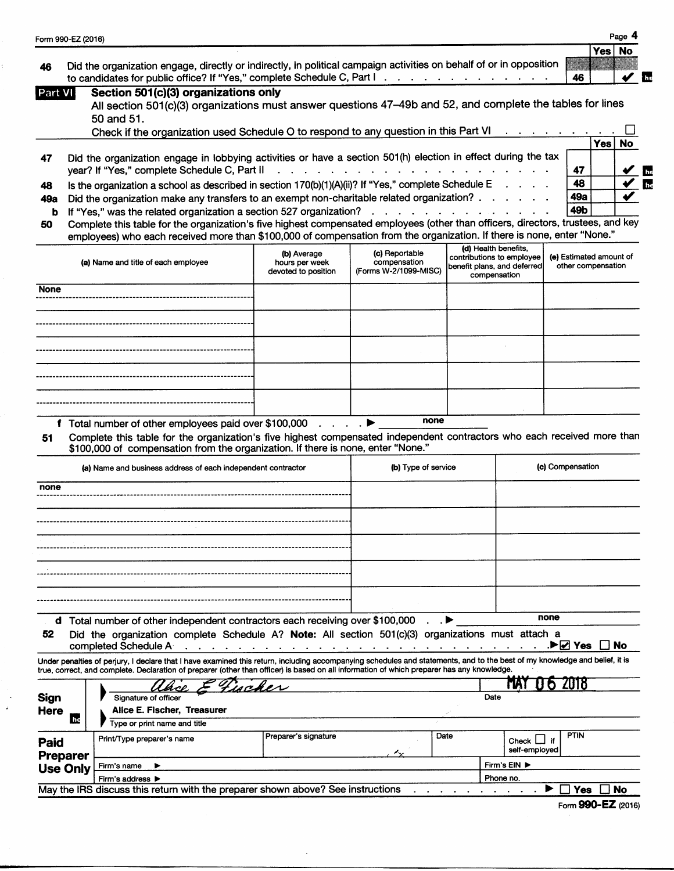| 46                                       | Form 990-EZ (2016)<br>Did the organization engage, directly or indirectly, in political campaign activities on behalf of or in opposition<br>to candidates for public office? If "Yes," complete Schedule C, Part I.                                                                                                     |                                                                                 |                                                         |      |                                                                                                  | 46                                            | <b>Yes</b> | Page<br>No<br>$\sqrt{2}$ |
|------------------------------------------|--------------------------------------------------------------------------------------------------------------------------------------------------------------------------------------------------------------------------------------------------------------------------------------------------------------------------|---------------------------------------------------------------------------------|---------------------------------------------------------|------|--------------------------------------------------------------------------------------------------|-----------------------------------------------|------------|--------------------------|
| Part VI                                  | Section 501(c)(3) organizations only<br>All section 501(c)(3) organizations must answer questions 47-49b and 52, and complete the tables for lines<br>50 and 51.                                                                                                                                                         |                                                                                 |                                                         |      |                                                                                                  |                                               |            |                          |
|                                          | Check if the organization used Schedule O to respond to any question in this Part VI                                                                                                                                                                                                                                     |                                                                                 |                                                         |      |                                                                                                  |                                               | <b>Yes</b> | No                       |
| 47                                       | Did the organization engage in lobbying activities or have a section 501(h) election in effect during the tax<br>vear? If "Yes," complete Schedule C, Part II                                                                                                                                                            |                                                                                 |                                                         |      |                                                                                                  | 47                                            |            |                          |
| 48                                       | Is the organization a school as described in section $170(b)(1)(A)(ii)$ ? If "Yes," complete Schedule E                                                                                                                                                                                                                  |                                                                                 |                                                         |      |                                                                                                  | 48                                            |            |                          |
| 49а                                      | Did the organization make any transfers to an exempt non-charitable related organization?                                                                                                                                                                                                                                |                                                                                 |                                                         |      |                                                                                                  | 49a                                           |            |                          |
| b                                        | If "Yes," was the related organization a section 527 organization?                                                                                                                                                                                                                                                       |                                                                                 | the contract of the contract of the contract of         |      |                                                                                                  | 49b                                           |            |                          |
| 50                                       | Complete this table for the organization's five highest compensated employees (other than officers, directors, trustees, and key<br>employees) who each received more than \$100,000 of compensation from the organization. If there is none, enter "None."                                                              |                                                                                 |                                                         |      |                                                                                                  |                                               |            |                          |
|                                          | (a) Name and title of each employee                                                                                                                                                                                                                                                                                      | (b) Average<br>hours per week<br>devoted to position                            | (c) Reportable<br>compensation<br>(Forms W-2/1099-MISC) |      | (d) Health benefits,<br>contributions to employee<br>benefit plans, and deferred<br>compensation | (e) Estimated amount of<br>other compensation |            |                          |
| None                                     |                                                                                                                                                                                                                                                                                                                          |                                                                                 |                                                         |      |                                                                                                  |                                               |            |                          |
|                                          |                                                                                                                                                                                                                                                                                                                          |                                                                                 |                                                         |      |                                                                                                  |                                               |            |                          |
|                                          |                                                                                                                                                                                                                                                                                                                          |                                                                                 |                                                         |      |                                                                                                  |                                               |            |                          |
|                                          |                                                                                                                                                                                                                                                                                                                          |                                                                                 |                                                         |      |                                                                                                  |                                               |            |                          |
|                                          |                                                                                                                                                                                                                                                                                                                          |                                                                                 |                                                         |      |                                                                                                  |                                               |            |                          |
|                                          |                                                                                                                                                                                                                                                                                                                          |                                                                                 |                                                         |      |                                                                                                  |                                               |            |                          |
|                                          |                                                                                                                                                                                                                                                                                                                          |                                                                                 |                                                         |      |                                                                                                  |                                               |            |                          |
|                                          | f Total number of other employees paid over \$100,000                                                                                                                                                                                                                                                                    |                                                                                 | none                                                    |      |                                                                                                  |                                               |            |                          |
|                                          | Complete this table for the organization's five highest compensated independent contractors who each received more than<br>\$100,000 of compensation from the organization. If there is none, enter "None."<br>(a) Name and business address of each independent contractor                                              |                                                                                 | (b) Type of service                                     |      |                                                                                                  | (c) Compensation                              |            |                          |
|                                          |                                                                                                                                                                                                                                                                                                                          |                                                                                 |                                                         |      |                                                                                                  |                                               |            |                          |
|                                          |                                                                                                                                                                                                                                                                                                                          |                                                                                 |                                                         |      |                                                                                                  |                                               |            |                          |
|                                          |                                                                                                                                                                                                                                                                                                                          |                                                                                 |                                                         |      |                                                                                                  |                                               |            |                          |
|                                          |                                                                                                                                                                                                                                                                                                                          |                                                                                 |                                                         |      |                                                                                                  |                                               |            |                          |
|                                          |                                                                                                                                                                                                                                                                                                                          |                                                                                 |                                                         |      |                                                                                                  |                                               |            |                          |
|                                          |                                                                                                                                                                                                                                                                                                                          |                                                                                 |                                                         |      |                                                                                                  |                                               |            |                          |
|                                          |                                                                                                                                                                                                                                                                                                                          |                                                                                 |                                                         |      |                                                                                                  |                                               |            |                          |
| 51<br>none                               | d Total number of other independent contractors each receiving over \$100,000                                                                                                                                                                                                                                            |                                                                                 |                                                         |      |                                                                                                  | none                                          |            |                          |
|                                          | Did the organization complete Schedule A? Note: All section 501(c)(3) organizations must attach a<br>completed Schedule A                                                                                                                                                                                                | the contract of the contract of the contract of the contract of the contract of |                                                         |      |                                                                                                  | DI <b>Z</b> Yes                               |            | No                       |
|                                          | Under penalties of perjury, I declare that I have examined this return, including accompanying schedules and statements, and to the best of my knowledge and belief, it is<br>true, correct, and complete. Declaration of preparer (other than officer) is based on all information of which preparer has any knowledge. |                                                                                 |                                                         |      |                                                                                                  |                                               |            |                          |
|                                          | Signature of officer<br>Alice E. Fischer, Treasurer                                                                                                                                                                                                                                                                      | maker                                                                           |                                                         | Date |                                                                                                  | ZU18                                          |            |                          |
|                                          | <b>In</b><br>Type or print name and title<br>Print/Type preparer's name                                                                                                                                                                                                                                                  | Preparer's signature                                                            |                                                         | Date | $Check$ $\Box$                                                                                   | <b>PTIN</b><br>if.                            |            |                          |
| 52<br><b>Sign</b><br><b>Here</b><br>Paid | <b>Preparer</b>                                                                                                                                                                                                                                                                                                          |                                                                                 | ∼                                                       |      | self-employed                                                                                    |                                               |            |                          |
|                                          | Firm's name<br>▶<br><b>Use Only</b><br>Firm's address ▶                                                                                                                                                                                                                                                                  |                                                                                 |                                                         |      | Firm's EIN ▶<br>Phone no.                                                                        |                                               |            |                          |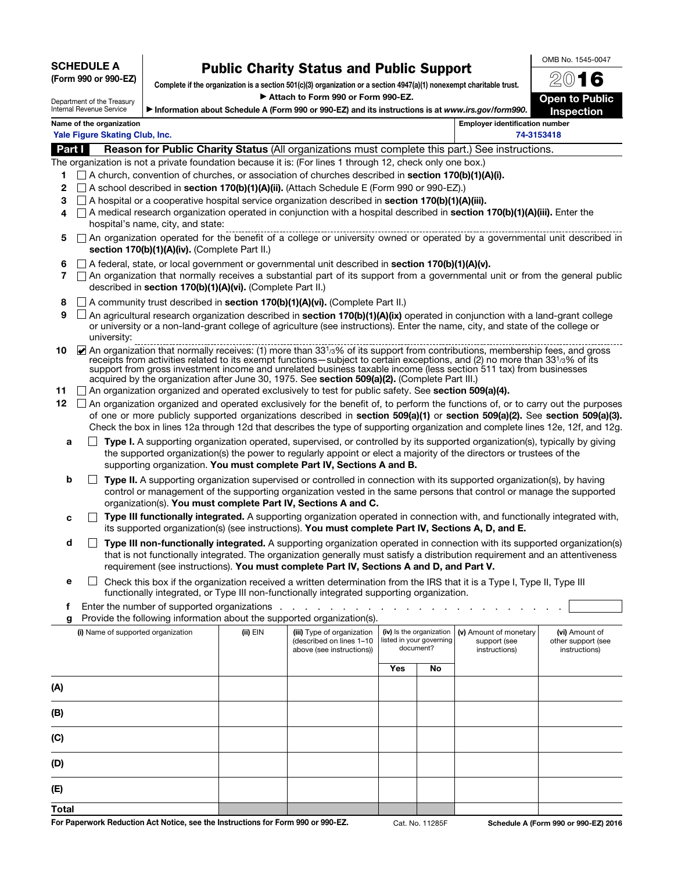## SCHEDULE A

|  |  |  | (Form 990 or 990-EZ) |  |
|--|--|--|----------------------|--|
|--|--|--|----------------------|--|

## Public Charity Status and Public Support

Complete if the organization is a section 501(c)(3) organization or a section 4947(a)(1) nonexempt charitable trust. Attach to Form 990 or Form 990-EZ.

Department of the Treasury Internal Revenue Service

| 2016                                       |
|--------------------------------------------|
| <b>Open to Public</b><br><b>Inspection</b> |

OMB No. 1545-0047

| ▶ Information about Schedule A (Form 990 or 990-EZ) and its instructions is at www.irs.gov/form990. |  |
|-----------------------------------------------------------------------------------------------------|--|
|-----------------------------------------------------------------------------------------------------|--|

| <b>DAMI</b>                    |                                       |
|--------------------------------|---------------------------------------|
| Yale Figure Skating Club, Inc. | 74-3153418                            |
| Name of the organization       | <b>Employer identification number</b> |

**Part I** Reason for Public Charity Status (All organizations must complete this part.) See instructions.

- The organization is not a private foundation because it is: (For lines 1 through 12, check only one box.)
	- 1  $\Box$  A church, convention of churches, or association of churches described in section 170(b)(1)(A)(i).
	- 2  $\Box$  A school described in section 170(b)(1)(A)(ii). (Attach Schedule E (Form 990 or 990-EZ).)
	- 3  $\Box$  A hospital or a cooperative hospital service organization described in section 170(b)(1)(A)(iii).
	- 4  $\Box$  A medical research organization operated in conjunction with a hospital described in **section 170(b)(1)(A)(iii).** Enter the hospital's name, city, and state:
	- $5 \cap$  An organization operated for the benefit of a college or university owned or operated by a governmental unit described in section 170(b)(1)(A)(iv). (Complete Part II.)
	- 6  $\Box$  A federal, state, or local government or governmental unit described in section 170(b)(1)(A)(v).
	- 7 An organization that normally receives a substantial part of its support from a governmental unit or from the general public described in section 170(b)(1)(A)(vi). (Complete Part II.)
	- 8 A community trust described in section 170(b)(1)(A)(vi). (Complete Part II.)
	- **9**  $\Box$  An agricultural research organization described in section 170(b)(1)(A)(ix) operated in conjunction with a land-grant college or university or a non-land-grant college of agriculture (see instructions). Enter the name, city, and state of the college or university:
- 10 An organization that normally receives: (1) more than 33<sup>1</sup>/3% of its support from contributions, membership fees, and gross receipts from activities related to its exempt functions—subject to certain exceptions, and (2) no more than 331/3% of its support from gross investment income and unrelated business taxable income (less section 511 tax) from businesses acquired by the organization after June 30, 1975. See section 509(a)(2). (Complete Part III.)
- 11  $\Box$  An organization organized and operated exclusively to test for public safety. See section 509(a)(4).
- 12  $\Box$  An organization organized and operated exclusively for the benefit of, to perform the functions of, or to carry out the purposes of one or more publicly supported organizations described in section 509(a)(1) or section 509(a)(2). See section 509(a)(3). Check the box in lines 12a through 12d that describes the type of supporting organization and complete lines 12e, 12f, and 12g.
	- $a \Box$  Type I. A supporting organization operated, supervised, or controlled by its supported organization(s), typically by giving the supported organization(s) the power to regularly appoint or elect a majority of the directors or trustees of the supporting organization. You must complete Part IV, Sections A and B.
	- $\Box$  **<b>Type II.** A supporting organization supervised or controlled in connection with its supported organization(s), by having control or management of the supporting organization vested in the same persons that control or manage the supported organization(s). You must complete Part IV, Sections A and C.
	- $c \Box$  Type III functionally integrated. A supporting organization operated in connection with, and functionally integrated with, its supported organization(s) (see instructions). You must complete Part IV, Sections A, D, and E.
	- $d \Box$  Type III non-functionally integrated. A supporting organization operated in connection with its supported organization(s) that is not functionally integrated. The organization generally must satisfy a distribution requirement and an attentiveness requirement (see instructions). You must complete Part IV, Sections A and D, and Part V.
	- **e**  $\Box$  Check this box if the organization received a written determination from the IRS that it is a Type I, Type II, Type III functionally integrated, or Type III non-functionally integrated supporting organization.
- f Enter the number of supported organizations . . . . . . . . . . . . . . . . . . . . . . .
- g Provide the following information about the supported organization(s).

|                                    | . .          | $\sim$                                                                              |                                                                   |    |                                                         |                                                       |
|------------------------------------|--------------|-------------------------------------------------------------------------------------|-------------------------------------------------------------------|----|---------------------------------------------------------|-------------------------------------------------------|
| (i) Name of supported organization | $(ii)$ $EIN$ | (iii) Type of organization<br>(described on lines 1-10<br>above (see instructions)) | (iv) Is the organization<br>listed in your governing<br>document? |    | (v) Amount of monetary<br>support (see<br>instructions) | (vi) Amount of<br>other support (see<br>instructions) |
|                                    |              |                                                                                     | Yes                                                               | No |                                                         |                                                       |
| (A)                                |              |                                                                                     |                                                                   |    |                                                         |                                                       |
| (B)                                |              |                                                                                     |                                                                   |    |                                                         |                                                       |
| (C)                                |              |                                                                                     |                                                                   |    |                                                         |                                                       |
| (D)                                |              |                                                                                     |                                                                   |    |                                                         |                                                       |
| (E)                                |              |                                                                                     |                                                                   |    |                                                         |                                                       |
| <b>Total</b>                       |              |                                                                                     |                                                                   |    |                                                         |                                                       |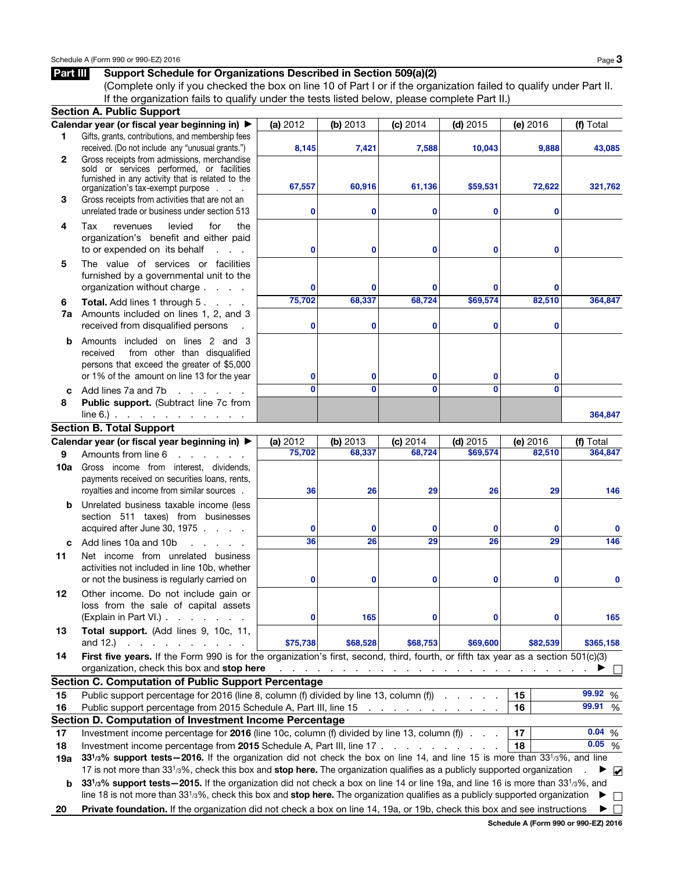Part III Support Schedule for Organizations Described in Section 509(a)(2)

## (Complete only if you checked the box on line 10 of Part I or if the organization failed to qualify under Part II. If the organization fails to qualify under the tests listed below, please complete Part II.) Section A. Public Support Calendar year (or fiscal year beginning in)  $\blacktriangleright$  (a) 2012 (b) 2013 (c) 2014 (d) 2015 (e) 2016 (f) Total 1 Gifts, grants, contributions, and membership fees received. (Do not include any "unusual grants.") **8,145 7,421 7,588 10,043 9,888 43,085** 2 Gross receipts from admissions, merchandise sold or services performed, or facilities furnished in any activity that is related to the organization's tax-exempt purpose . . . **67,557 60,916 61,136 \$59,531 72,622 321,762 3** Gross receipts from activities that are not an unrelated trade or business under section 513 **0 0 0 0 0** 4 Tax revenues levied for the organization's benefit and either paid to or expended on its behalf . . . **0 0 0 0 0** 5 The value of services or facilities furnished by a governmental unit to the organization without charge . . . . **0 0 0 0 0** 6 Total. Add lines 1 through 5. . . . **75,702 68,337 68,724 \$69,574 82,510 364,847** 7a Amounts included on lines 1, 2, and 3 received from disqualified persons . **0 0 0 0 0 b** Amounts included on lines 2 and 3 received from other than disqualified persons that exceed the greater of \$5,000 or 1% of the amount on line 13 for the year **0 0 0 0 0** c Add lines  $7a$  and  $7b$  . . . . . . **0 0 0 0 0** 8 Public support. (Subtract line 7c from  $line 6.)$  . . . . . . . . . . . **364,847** Section B. Total Support Calendar year (or fiscal year beginning in)  $\bullet$  (a) 2012 (b) 2013 (c) 2014 (d) 2015 (e) 2016 (f) Total 9 Amounts from line 6 . . . . . . **75,702 68,337 68,724 \$69,574 82,510 364,847** 10a Gross income from interest, dividends, payments received on securities loans, rents, royalties and income from similar sources . **36 26 29 26 29 146 b** Unrelated business taxable income (less section 511 taxes) from businesses acquired after June 30, 1975 . . . . **0 0 0 0 0 0** c Add lines  $10a$  and  $10b$  . . . . **36 26 29 26 29 146** 11 Net income from unrelated business activities not included in line 10b, whether or not the business is regularly carried on **0 0 0 0 0 0** 12 Other income. Do not include gain or loss from the sale of capital assets (Explain in Part VI.)  $\ldots$   $\ldots$  . . . **0 165 0 0 0 165** 13 Total support. (Add lines 9, 10c, 11, and 12.) . . . . . . . . . . **\$75,738 \$68,528 \$68,753 \$69,600 \$82,539 \$365,158** 14 First five years. If the Form 990 is for the organization's first, second, third, fourth, or fifth tax year as a section 501(c)(3) organization, check this box and stop here . . . . . . . . . . . . . . . . . . . . . . . . . a  $\Box$ Section C. Computation of Public Support Percentage 15 Public support percentage for 2016 (line 8, column (f) divided by line 13, column (f)  $\cdot \cdot \cdot$  . . . . 15 \ 99.92 % **99.92 99.91** 16 Public support percentage from 2015 Schedule A, Part III, line 15 . . . . . . . . . . . . 16 | 99.91 % Section D. Computation of Investment Income Percentage **0.04** 17 Investment income percentage for 2016 (line 10c, column (f) divided by line 13, column (f)  $\ldots$  17  $\vert$  17  $\vert$  0.04 % **0.05** 18 Investment income percentage from 2015 Schedule A, Part III, line 17 . . . . . . . . . . . 18 | 0.05 % 19a 33<sup>1</sup>/<sub>3</sub>% support tests–2016. If the organization did not check the box on line 14, and line 15 is more than 33<sup>1</sup>/<sub>3</sub>%, and line 17 is not more than 331/3%, check this box and **stop here.** The organization qualifies as a publicly supported organization  $\blacksquare$ ✔b 33<sup>1</sup>/<sub>3</sub>% support tests—2015. If the organization did not check a box on line 14 or line 19a, and line 16 is more than 33<sup>1</sup>/<sub>3</sub>%, and line 18 is not more than  $33^{1/3}$ %, check this box and **stop here.** The organization qualifies as a publicly supported organization  $\blacktriangleright$  $\Box$ 20 Private foundation. If the organization did not check a box on line 14, 19a, or 19b, check this box and see instructions  $\blacktriangleright \Box$